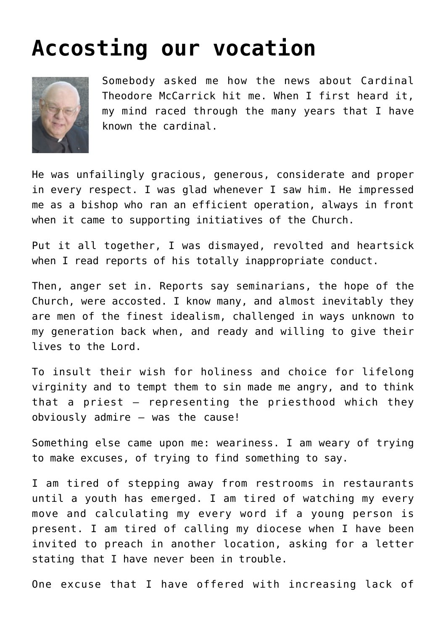## **[Accosting our vocation](https://www.osvnews.com/2018/08/05/accosting-our-vocation/)**



Somebody asked me how the news about Cardinal Theodore McCarrick hit me. When I first heard it, my mind raced through the many years that I have known the cardinal.

He was unfailingly gracious, generous, considerate and proper in every respect. I was glad whenever I saw him. He impressed me as a bishop who ran an efficient operation, always in front when it came to supporting initiatives of the Church.

Put it all together, I was dismayed, revolted and heartsick when I read reports of his totally inappropriate conduct.

Then, anger set in. Reports say seminarians, the hope of the Church, were accosted. I know many, and almost inevitably they are men of the finest idealism, challenged in ways unknown to my generation back when, and ready and willing to give their lives to the Lord.

To insult their wish for holiness and choice for lifelong virginity and to tempt them to sin made me angry, and to think that a priest — representing the priesthood which they obviously admire — was the cause!

Something else came upon me: weariness. I am weary of trying to make excuses, of trying to find something to say.

I am tired of stepping away from restrooms in restaurants until a youth has emerged. I am tired of watching my every move and calculating my every word if a young person is present. I am tired of calling my diocese when I have been invited to preach in another location, asking for a letter stating that I have never been in trouble.

One excuse that I have offered with increasing lack of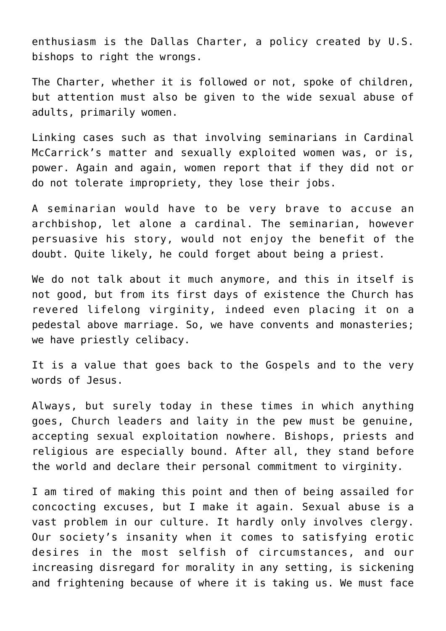enthusiasm is the Dallas Charter, a policy created by U.S. bishops to right the wrongs.

The Charter, whether it is followed or not, spoke of children, but attention must also be given to the wide sexual abuse of adults, primarily women.

Linking cases such as that involving seminarians in Cardinal McCarrick's matter and sexually exploited women was, or is, power. Again and again, women report that if they did not or do not tolerate impropriety, they lose their jobs.

A seminarian would have to be very brave to accuse an archbishop, let alone a cardinal. The seminarian, however persuasive his story, would not enjoy the benefit of the doubt. Quite likely, he could forget about being a priest.

We do not talk about it much anymore, and this in itself is not good, but from its first days of existence the Church has revered lifelong virginity, indeed even placing it on a pedestal above marriage. So, we have convents and monasteries; we have priestly celibacy.

It is a value that goes back to the Gospels and to the very words of Jesus.

Always, but surely today in these times in which anything goes, Church leaders and laity in the pew must be genuine, accepting sexual exploitation nowhere. Bishops, priests and religious are especially bound. After all, they stand before the world and declare their personal commitment to virginity.

I am tired of making this point and then of being assailed for concocting excuses, but I make it again. Sexual abuse is a vast problem in our culture. It hardly only involves clergy. Our society's insanity when it comes to satisfying erotic desires in the most selfish of circumstances, and our increasing disregard for morality in any setting, is sickening and frightening because of where it is taking us. We must face